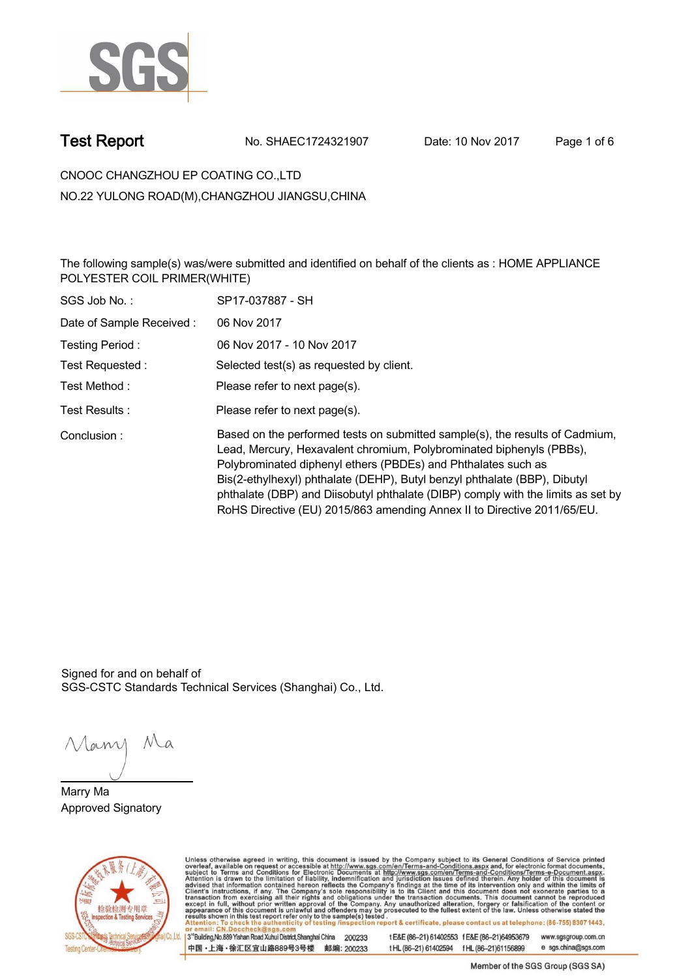

**Test Report. No. SHAEC1724321907 Date: 10 Nov 2017. Page 1 of 6.**

**CNOOC CHANGZHOU EP COATING CO.,LTD . NO.22 YULONG ROAD(M),CHANGZHOU JIANGSU,CHINA**

**The following sample(s) was/were submitted and identified on behalf of the clients as : HOME APPLIANCE POLYESTER COIL PRIMER(WHITE) .**

| SGS Job No.:             | SP17-037887 - SH                                                                                                                                                                                                                                                                                                                                                                                                                                                  |
|--------------------------|-------------------------------------------------------------------------------------------------------------------------------------------------------------------------------------------------------------------------------------------------------------------------------------------------------------------------------------------------------------------------------------------------------------------------------------------------------------------|
| Date of Sample Received: | 06 Nov 2017                                                                                                                                                                                                                                                                                                                                                                                                                                                       |
| Testing Period:          | 06 Nov 2017 - 10 Nov 2017                                                                                                                                                                                                                                                                                                                                                                                                                                         |
| Test Requested:          | Selected test(s) as requested by client.                                                                                                                                                                                                                                                                                                                                                                                                                          |
| Test Method :            | Please refer to next page(s).                                                                                                                                                                                                                                                                                                                                                                                                                                     |
| Test Results :           | Please refer to next page(s).                                                                                                                                                                                                                                                                                                                                                                                                                                     |
| Conclusion:              | Based on the performed tests on submitted sample(s), the results of Cadmium,<br>Lead, Mercury, Hexavalent chromium, Polybrominated biphenyls (PBBs),<br>Polybrominated diphenyl ethers (PBDEs) and Phthalates such as<br>Bis(2-ethylhexyl) phthalate (DEHP), Butyl benzyl phthalate (BBP), Dibutyl<br>phthalate (DBP) and Diisobutyl phthalate (DIBP) comply with the limits as set by<br>RoHS Directive (EU) 2015/863 amending Annex II to Directive 2011/65/EU. |

Signed for and on behalf of SGS-CSTC Standards Technical Services (Shanghai) Co., Ltd..

Many Ma

**Marry Ma. Approved Signatory .**



Unless otherwise agreed in writing, this document is issued by the Company subject to its General Conditions of Service printed overleaf, available on request or accessible at http://www.sgs.com/en/Terms-and-Conditions.asp t E&E (86-21) 61402553 f E&E (86-21)64953679 www.sgsgroup.com.cn

3<sup>rd</sup>Building, No.889 Yishan Road Xuhui District, Shanghai China 200233 中国·上海·徐汇区宜山路889号3号楼 邮编: 200233

tHL (86-21) 61402594 fHL (86-21) 61156899 e sgs.china@sgs.com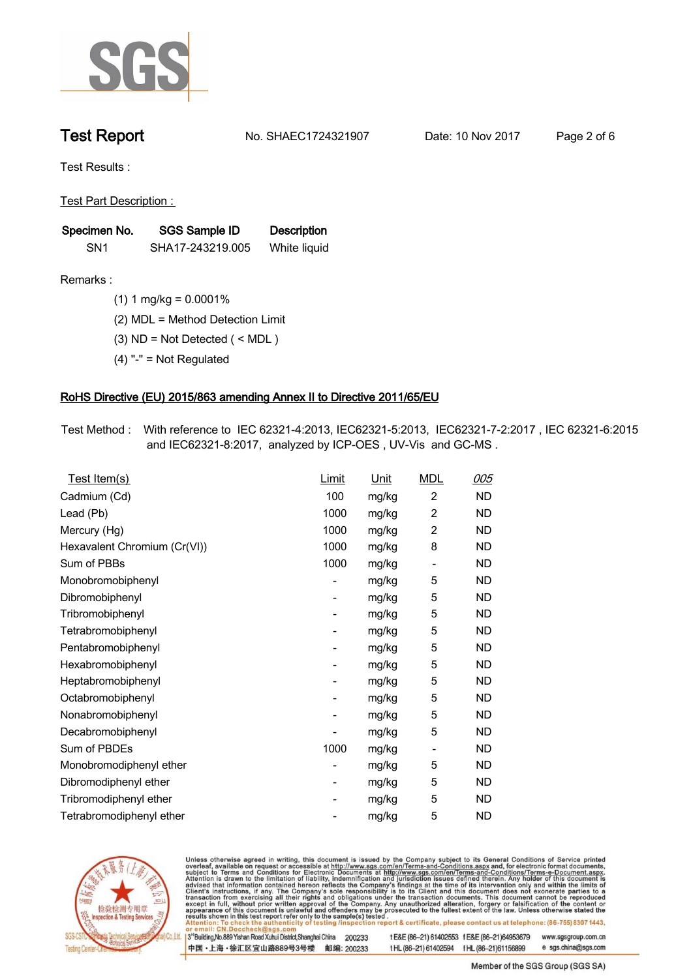

**Test Report. No. SHAEC1724321907 Date: 10 Nov 2017. Page 2 of 6.**

**Test Results :.**

**Test Part Description : .**

| Specimen No.    | SGS Sample ID    | <b>Description</b> |
|-----------------|------------------|--------------------|
| SN <sub>1</sub> | SHA17-243219.005 | White liquid       |

**Remarks :.(1) 1 mg/kg = 0.0001% .**

**(2) MDL = Method Detection Limit .**

**(3) ND = Not Detected ( < MDL ) .**

**(4) "-" = Not Regulated .**

## **RoHS Directive (EU) 2015/863 amending Annex II to Directive 2011/65/EU.**

**Test Method :. With reference to IEC 62321-4:2013, IEC62321-5:2013, IEC62321-7-2:2017 , IEC 62321-6:2015 and IEC62321-8:2017, analyzed by ICP-OES , UV-Vis and GC-MS . .**

| <u>Test Item(s)</u>          | <u>Limit</u>             | <u>Unit</u> | <b>MDL</b>               | 005       |
|------------------------------|--------------------------|-------------|--------------------------|-----------|
| Cadmium (Cd)                 | 100                      | mg/kg       | $\overline{c}$           | <b>ND</b> |
| Lead (Pb)                    | 1000                     | mg/kg       | 2                        | <b>ND</b> |
| Mercury (Hg)                 | 1000                     | mg/kg       | 2                        | ND        |
| Hexavalent Chromium (Cr(VI)) | 1000                     | mg/kg       | 8                        | ND        |
| Sum of PBBs                  | 1000                     | mg/kg       | $\overline{\phantom{a}}$ | <b>ND</b> |
| Monobromobiphenyl            | -                        | mg/kg       | 5                        | <b>ND</b> |
| Dibromobiphenyl              | $\overline{\phantom{0}}$ | mg/kg       | 5                        | <b>ND</b> |
| Tribromobiphenyl             | $\overline{\phantom{0}}$ | mg/kg       | 5                        | <b>ND</b> |
| Tetrabromobiphenyl           | -                        | mg/kg       | 5                        | ND        |
| Pentabromobiphenyl           | $\overline{\phantom{0}}$ | mg/kg       | 5                        | ND        |
| Hexabromobiphenyl            | -                        | mg/kg       | 5                        | ND        |
| Heptabromobiphenyl           | $\overline{\phantom{a}}$ | mg/kg       | 5                        | <b>ND</b> |
| Octabromobiphenyl            | -                        | mg/kg       | 5                        | <b>ND</b> |
| Nonabromobiphenyl            | -                        | mg/kg       | 5                        | ND        |
| Decabromobiphenyl            | $\overline{a}$           | mg/kg       | 5                        | <b>ND</b> |
| Sum of PBDEs                 | 1000                     | mg/kg       | $\overline{\phantom{a}}$ | <b>ND</b> |
| Monobromodiphenyl ether      | -                        | mg/kg       | 5                        | ND        |
| Dibromodiphenyl ether        | ۰                        | mg/kg       | 5                        | <b>ND</b> |
| Tribromodiphenyl ether       | -                        | mg/kg       | 5                        | ND        |
| Tetrabromodiphenyl ether     |                          | mg/kg       | 5                        | <b>ND</b> |



Unless otherwise agreed in writing, this document is issued by the Company subject to its General Conditions of Service printed overleaf, available on request or accessible at http://www.sgs.com/en/Terms-and-Conditions.asp

3<sup>rd</sup>Building, No.889 Yishan Road Xuhui District, Shanghai China 200233 中国·上海·徐汇区宜山路889号3号楼 邮编: 200233 t E&E (86-21) 61402553 f E&E (86-21)64953679 www.sgsgroup.com.cn

t HL (86-21) 61402594 f HL (86-21) 61156899 e sgs.china@sgs.com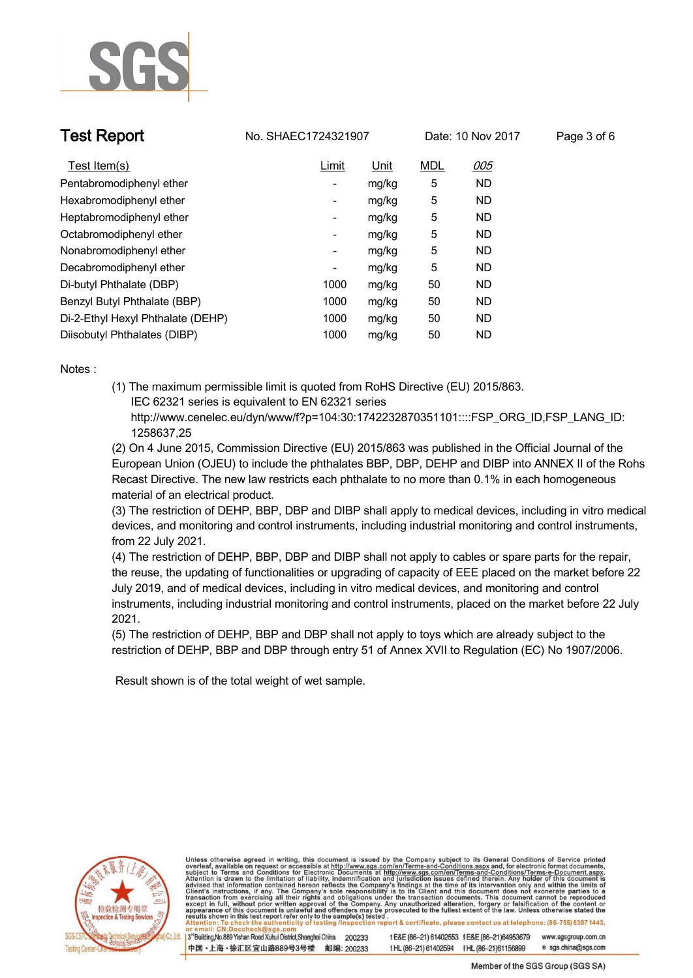

**Test Report. No. SHAEC1724321907** Date: 10 Nov 2017 Page 3 of 6

| Test Item(s)                      | Limit                    | <u>Unit</u> | <b>MDL</b> | 005       |
|-----------------------------------|--------------------------|-------------|------------|-----------|
| Pentabromodiphenyl ether          | $\overline{\phantom{a}}$ | mg/kg       | 5          | <b>ND</b> |
| Hexabromodiphenyl ether           | $\overline{\phantom{a}}$ | mg/kg       | 5          | <b>ND</b> |
| Heptabromodiphenyl ether          | $\overline{\phantom{a}}$ | mg/kg       | 5          | <b>ND</b> |
| Octabromodiphenyl ether           | ۰                        | mg/kg       | 5          | <b>ND</b> |
| Nonabromodiphenyl ether           | $\overline{\phantom{a}}$ | mg/kg       | 5          | <b>ND</b> |
| Decabromodiphenyl ether           | ۰                        | mg/kg       | 5          | <b>ND</b> |
| Di-butyl Phthalate (DBP)          | 1000                     | mg/kg       | 50         | <b>ND</b> |
| Benzyl Butyl Phthalate (BBP)      | 1000                     | mg/kg       | 50         | <b>ND</b> |
| Di-2-Ethyl Hexyl Phthalate (DEHP) | 1000                     | mg/kg       | 50         | <b>ND</b> |
| Diisobutyl Phthalates (DIBP)      | 1000                     | mg/kg       | 50         | <b>ND</b> |

**Notes :.**

**(1) The maximum permissible limit is quoted from RoHS Directive (EU) 2015/863. IEC 62321 series is equivalent to EN 62321 series**

 **http://www.cenelec.eu/dyn/www/f?p=104:30:1742232870351101::::FSP\_ORG\_ID,FSP\_LANG\_ID: 1258637,25**

**(2) On 4 June 2015, Commission Directive (EU) 2015/863 was published in the Official Journal of the European Union (OJEU) to include the phthalates BBP, DBP, DEHP and DIBP into ANNEX II of the Rohs Recast Directive. The new law restricts each phthalate to no more than 0.1% in each homogeneous material of an electrical product.** 

**(3) The restriction of DEHP, BBP, DBP and DIBP shall apply to medical devices, including in vitro medical devices, and monitoring and control instruments, including industrial monitoring and control instruments, from 22 July 2021.**

**(4) The restriction of DEHP, BBP, DBP and DIBP shall not apply to cables or spare parts for the repair, the reuse, the updating of functionalities or upgrading of capacity of EEE placed on the market before 22 July 2019, and of medical devices, including in vitro medical devices, and monitoring and control instruments, including industrial monitoring and control instruments, placed on the market before 22 July 2021.** 

**(5) The restriction of DEHP, BBP and DBP shall not apply to toys which are already subject to the restriction of DEHP, BBP and DBP through entry 51 of Annex XVII to Regulation (EC) No 1907/2006. .**

 **Result shown is of the total weight of wet sample. .**



Unless otherwise agreed in writing, this document is issued by the Company subject to its General Conditions of Service printed overleaf, available on request or accessible at http://www.sgs.com/en/Terms-and-Conditions.asp results shown in this test report refer only to the sample(s) tested report & certificate, please contact us at telephone: (86-755) 8307 1443,

3<sup>rd</sup> Building, No.889 Yishan Road Xuhui District, Shanghai China 200233 中国·上海·徐汇区宜山路889号3号楼 邮编: 200233 t E&E (86-21) 61402553 f E&E (86-21)64953679 www.sgsgroup.com.cn e sgs.china@sgs.com tHL (86-21) 61402594 fHL (86-21) 61156899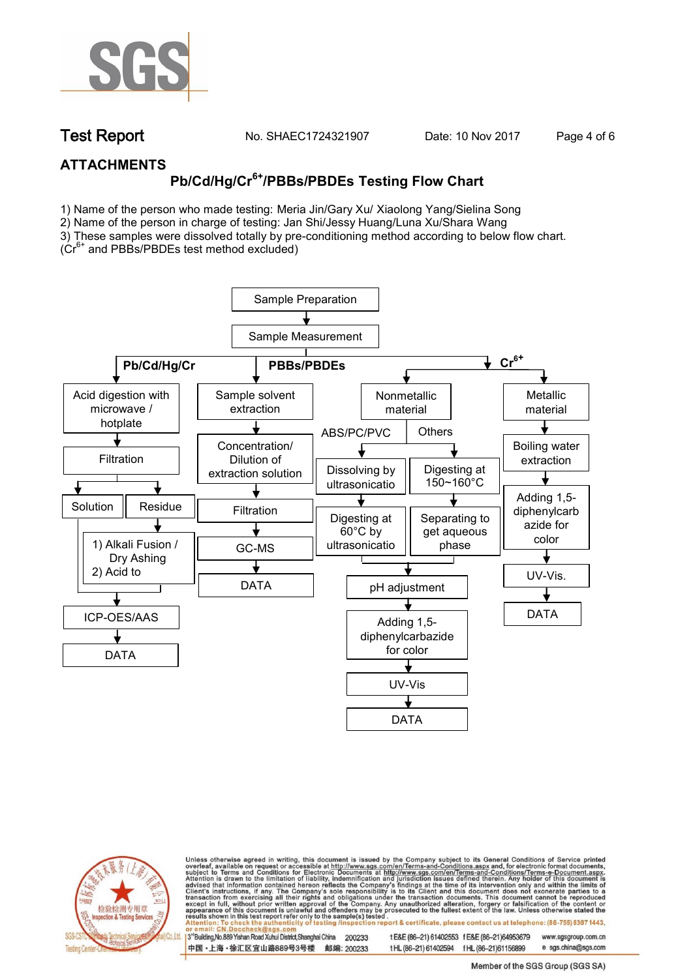

**Test Report. No. SHAEC1724321907** Date: 10 Nov 2017 Page 4 of 6

## **ATTACHMENTS**

# **Pb/Cd/Hg/Cr6+/PBBs/PBDEs Testing Flow Chart**

1) Name of the person who made testing: Meria Jin/Gary Xu/ Xiaolong Yang/Sielina Song

2) Name of the person in charge of testing: Jan Shi/Jessy Huang/Luna Xu/Shara Wang

3) These samples were dissolved totally by pre-conditioning method according to below flow chart. (Cr6+ and PBBs/PBDEs test method excluded)

Sample Preparation Sample Measurement **Pb/Cd/Hg/Cr PBBs/PBDEs and PBBs/PBDEs** Acid digestion with Sample solvent Nonmetallic Metallic microwave / extraction material material hotplate ABS/PC/PVC **Others** ↓ Concentration/  $\sqrt{2\pi}$ Boiling water **Filtration** Dilution of extraction Dissolving by Digesting at extraction solution 150~160°C ultrasonicatio Adding 1,5-  $\sqrt{a^2+a^2}$ Solution Residue **Filtration** diphenylcarb Digesting at Separating to azide for get aqueous 60°C by color 1) Alkali Fusion / ultrasonicatio phaseGC-MS  $\frac{1}{2}$ Dry Ashing <u>n Samud K</u> 2) Acid to UV-Vis. DATA dissolvered and the second pH adjustment DATA ICP-OES/AAS Adding 1,5 diphenylcarbazide for color DATA development and the state of the state of the state of the state of the state of the state of the state of the UV-Vis DATA



Unless otherwise agreed in writing, this document is issued by the Company subject to its General Conditions of Service printed overleaf, available on request or accessible at http://www.sgs.com/en/Terms-and-Conditions.asp on report & certificate, please contact us at telephone: (86-755) 8307 1443, esting /ins

13<sup>rd</sup> Building, No.889 Yishan Road Xuhui District, Shanghai China 200233 中国·上海·徐汇区宜山路889号3号楼 邮编: 200233 tE&E (86-21) 61402553 fE&E (86-21)64953679 www.sgsgroup.com.cn

t HL (86-21) 61402594 f HL (86-21)61156899 e sgs.china@sgs.com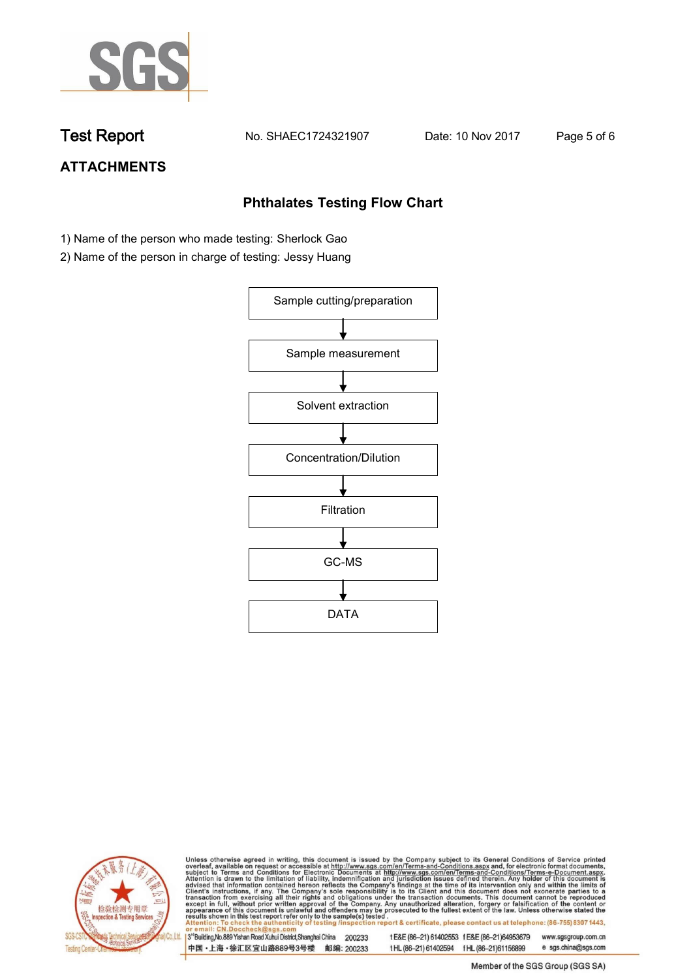

**Test Report. No. SHAEC1724321907 Date: 10 Nov 2017. Page 5 of 6.**

## **ATTACHMENTS**

## **Phthalates Testing Flow Chart**

- 1) Name of the person who made testing: Sherlock Gao
- 2) Name of the person in charge of testing: Jessy Huang





Unless otherwise agreed in writing, this document is issued by the Company subject to its General Conditions of Service printed overleaf, available on request or accessible at http://www.sgs.com/en/Terms-and-Conditions.asp

3<sup>rd</sup>Building, No.889 Yishan Road Xuhui District, Shanghai China 200233 中国·上海·徐汇区宜山路889号3号楼 邮编: 200233 t E&E (86-21) 61402553 f E&E (86-21)64953679 www.sgsgroup.com.cn t HL (86-21) 61402594 f HL (86-21) 61156899 e sgs.china@sgs.com